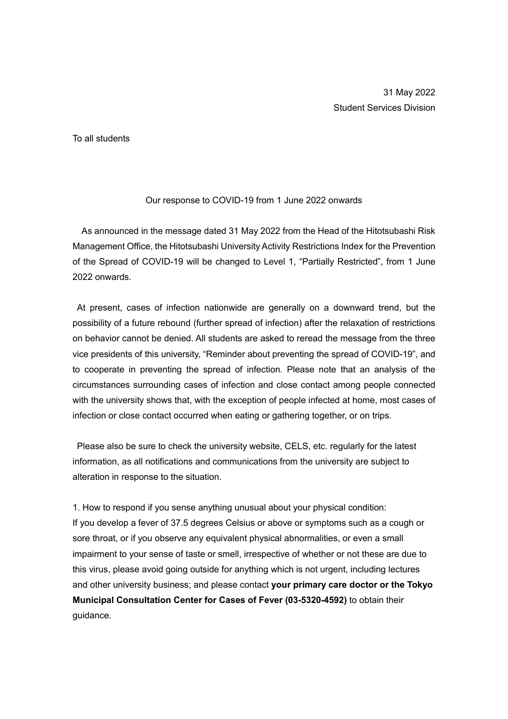To all students

## Our response to COVID-19 from 1 June 2022 onwards

As announced in the message dated 31 May 2022 from the Head of the Hitotsubashi Risk Management Office, the Hitotsubashi University Activity Restrictions Index for the Prevention of the Spread of COVID-19 will be changed to Level 1, "Partially Restricted", from 1 June 2022 onwards.

At present, cases of infection nationwide are generally on a downward trend, but the possibility of a future rebound (further spread of infection) after the relaxation of restrictions on behavior cannot be denied. All students are asked to reread the message from the three vice presidents of this university, "Reminder about preventing the spread of COVID-19", and to cooperate in preventing the spread of infection. Please note that an analysis of the circumstances surrounding cases of infection and close contact among people connected with the university shows that, with the exception of people infected at home, most cases of infection or close contact occurred when eating or gathering together, or on trips.

Please also be sure to check the university website, CELS, etc. regularly for the latest information, as all notifications and communications from the university are subject to alteration in response to the situation.

1. How to respond if you sense anything unusual about your physical condition: If you develop a fever of 37.5 degrees Celsius or above or symptoms such as a cough or sore throat, or if you observe any equivalent physical abnormalities, or even a small impairment to your sense of taste or smell, irrespective of whether or not these are due to this virus, please avoid going outside for anything which is not urgent, including lectures and other university business; and please contact **your primary care doctor or the Tokyo Municipal Consultation Center for Cases of Fever (03-5320-4592)** to obtain their guidance.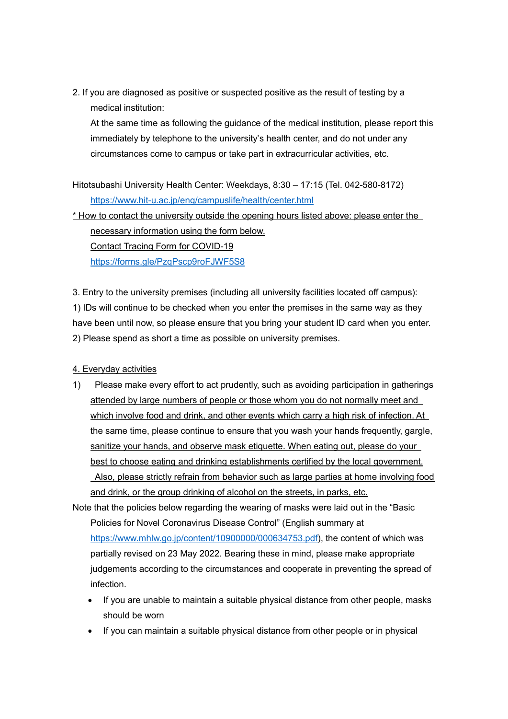2. If you are diagnosed as positive or suspected positive as the result of testing by a medical institution:

At the same time as following the guidance of the medical institution, please report this immediately by telephone to the university's health center, and do not under any circumstances come to campus or take part in extracurricular activities, etc.

Hitotsubashi University Health Center: Weekdays, 8:30 – 17:15 (Tel. 042-580-8172) <https://www.hit-u.ac.jp/eng/campuslife/health/center.html>

\* How to contact the university outside the opening hours listed above: please enter the necessary information using the form below. Contact Tracing Form for COVID-19

<https://forms.gle/PzqPscp9roFJWF5S8>

3. Entry to the university premises (including all university facilities located off campus): 1) IDs will continue to be checked when you enter the premises in the same way as they have been until now, so please ensure that you bring your student ID card when you enter. 2) Please spend as short a time as possible on university premises.

## 4. Everyday activities

1) Please make every effort to act prudently, such as avoiding participation in gatherings attended by large numbers of people or those whom you do not normally meet and which involve food and drink, and other events which carry a high risk of infection. At the same time, please continue to ensure that you wash your hands frequently, gargle, sanitize your hands, and observe mask etiquette. When eating out, please do your best to choose eating and drinking establishments certified by the local government. Also, please strictly refrain from behavior such as large parties at home involving food and drink, or the group drinking of alcohol on the streets, in parks, etc.

Note that the policies below regarding the wearing of masks were laid out in the "Basic Policies for Novel Coronavirus Disease Control" (English summary at [https://www.mhlw.go.jp/content/10900000/000634753.pdf\)](https://www.mhlw.go.jp/content/10900000/000634753.pdf), the content of which was partially revised on 23 May 2022. Bearing these in mind, please make appropriate judgements according to the circumstances and cooperate in preventing the spread of infection.

- If you are unable to maintain a suitable physical distance from other people, masks should be worn
- If you can maintain a suitable physical distance from other people or in physical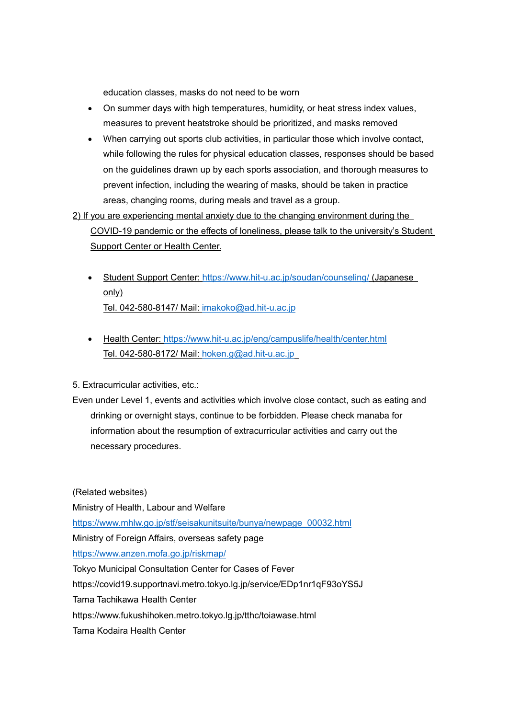education classes, masks do not need to be worn

- On summer days with high temperatures, humidity, or heat stress index values, measures to prevent heatstroke should be prioritized, and masks removed
- When carrying out sports club activities, in particular those which involve contact, while following the rules for physical education classes, responses should be based on the guidelines drawn up by each sports association, and thorough measures to prevent infection, including the wearing of masks, should be taken in practice areas, changing rooms, during meals and travel as a group.
- 2) If you are experiencing mental anxiety due to the changing environment during the COVID-19 pandemic or the effects of loneliness, please talk to the university's Student Support Center or Health Center.
	- Student Support Center:<https://www.hit-u.ac.jp/soudan/counseling/> (Japanese only) Tel. 042-580-8147/ Mail: [imakoko@ad.hit-u.ac.jp](mailto:imakoko@ad.hit-u.ac.jp)
	- Health Center:<https://www.hit-u.ac.jp/eng/campuslife/health/center.html> Tel. 042-580-8172/ Mail: [hoken.g@ad.hit-u.ac.jp](mailto:hoken.g@ad.hit-u.ac.jp)
- 5. Extracurricular activities, etc.:
- Even under Level 1, events and activities which involve close contact, such as eating and drinking or overnight stays, continue to be forbidden. Please check manaba for information about the resumption of extracurricular activities and carry out the necessary procedures.

(Related websites) Ministry of Health, Labour and Welfare [https://www.mhlw.go.jp/stf/seisakunitsuite/bunya/newpage\\_00032.html](https://www.mhlw.go.jp/stf/seisakunitsuite/bunya/newpage_00032.html) Ministry of Foreign Affairs, overseas safety page <https://www.anzen.mofa.go.jp/riskmap/> Tokyo Municipal Consultation Center for Cases of Fever https://covid19.supportnavi.metro.tokyo.lg.jp/service/EDp1nr1qF93oYS5J Tama Tachikawa Health Center <https://www.fukushihoken.metro.tokyo.lg.jp/tthc/toiawase.html> Tama Kodaira Health Center